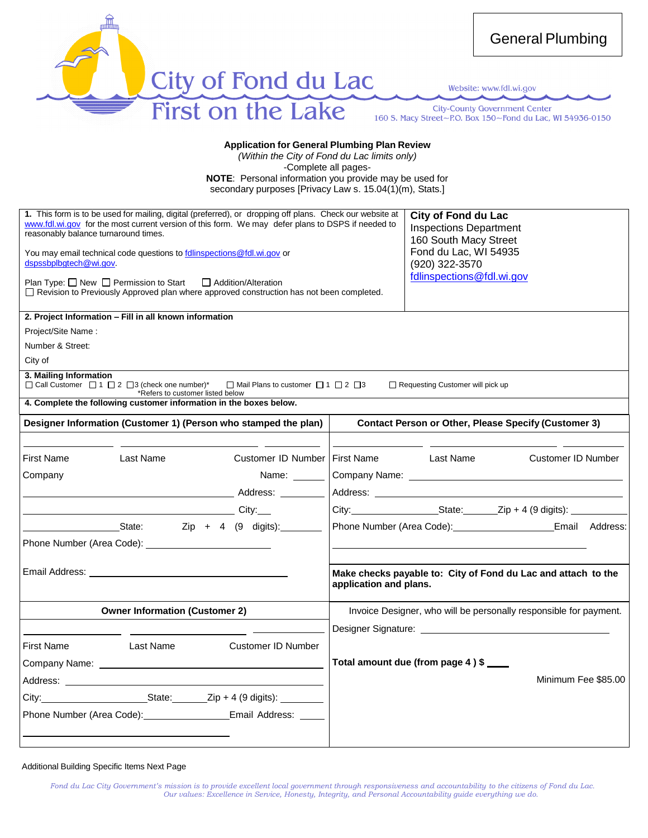

Website: www.fdl.wi.gov

**City-County Government Center** 160 S. Macy Street~P.O. Box 150~Fond du Lac, WI 54936-0150

#### **Application for General Plumbing Plan Review**

*(Within the City of Fond du Lac limits only)* -Complete all pages-

**NOTE**: Personal information you provide may be used for secondary purposes [Privacy Law s. 15.04(1)(m), Stats.]

| reasonably balance turnaround times.<br>dspssbplbgtech@wi.gov. | Plan Type: □ New □ Permission to Start □ Addition/Alteration                                                                                                                                                                   | 1. This form is to be used for mailing, digital (preferred), or dropping off plans. Check our website at<br>www.fdl.wi.gov for the most current version of this form. We may defer plans to DSPS if needed to<br>You may email technical code questions to follinspections@fdl.wi.gov or<br>□ Revision to Previously Approved plan where approved construction has not been completed. |                        | <b>City of Fond du Lac</b><br><b>Inspections Department</b><br>160 South Macy Street<br>Fond du Lac, WI 54935<br>(920) 322-3570<br>fdlinspections@fdl.wi.gov |                                                                   |
|----------------------------------------------------------------|--------------------------------------------------------------------------------------------------------------------------------------------------------------------------------------------------------------------------------|----------------------------------------------------------------------------------------------------------------------------------------------------------------------------------------------------------------------------------------------------------------------------------------------------------------------------------------------------------------------------------------|------------------------|--------------------------------------------------------------------------------------------------------------------------------------------------------------|-------------------------------------------------------------------|
|                                                                | 2. Project Information - Fill in all known information                                                                                                                                                                         |                                                                                                                                                                                                                                                                                                                                                                                        |                        |                                                                                                                                                              |                                                                   |
| Project/Site Name:                                             |                                                                                                                                                                                                                                |                                                                                                                                                                                                                                                                                                                                                                                        |                        |                                                                                                                                                              |                                                                   |
| Number & Street:                                               |                                                                                                                                                                                                                                |                                                                                                                                                                                                                                                                                                                                                                                        |                        |                                                                                                                                                              |                                                                   |
| City of                                                        |                                                                                                                                                                                                                                |                                                                                                                                                                                                                                                                                                                                                                                        |                        |                                                                                                                                                              |                                                                   |
| 3. Mailing Information                                         | $\Box$ Call Customer $\Box$ 1 $\Box$ 2 $\Box$ 3 (check one number)*<br>*Refers to customer listed below                                                                                                                        | $\Box$ Mail Plans to customer $\Box$ 1 $\Box$ 2 $\Box$ 3<br>4. Complete the following customer information in the boxes below.                                                                                                                                                                                                                                                         |                        | $\Box$ Requesting Customer will pick up                                                                                                                      |                                                                   |
|                                                                |                                                                                                                                                                                                                                |                                                                                                                                                                                                                                                                                                                                                                                        |                        |                                                                                                                                                              |                                                                   |
|                                                                |                                                                                                                                                                                                                                | Designer Information (Customer 1) (Person who stamped the plan)                                                                                                                                                                                                                                                                                                                        |                        |                                                                                                                                                              | <b>Contact Person or Other, Please Specify (Customer 3)</b>       |
|                                                                |                                                                                                                                                                                                                                |                                                                                                                                                                                                                                                                                                                                                                                        |                        |                                                                                                                                                              |                                                                   |
| First Name                                                     | Last Name                                                                                                                                                                                                                      | Customer ID Number   First Name                                                                                                                                                                                                                                                                                                                                                        |                        | Last Name                                                                                                                                                    | Customer ID Number                                                |
| Company                                                        |                                                                                                                                                                                                                                | Name: ______                                                                                                                                                                                                                                                                                                                                                                           |                        |                                                                                                                                                              |                                                                   |
|                                                                |                                                                                                                                                                                                                                |                                                                                                                                                                                                                                                                                                                                                                                        |                        |                                                                                                                                                              |                                                                   |
|                                                                | <u>City: City:</u>                                                                                                                                                                                                             |                                                                                                                                                                                                                                                                                                                                                                                        |                        |                                                                                                                                                              |                                                                   |
|                                                                |                                                                                                                                                                                                                                | State: Zip + 4 (9 digits): State:                                                                                                                                                                                                                                                                                                                                                      |                        |                                                                                                                                                              |                                                                   |
|                                                                |                                                                                                                                                                                                                                |                                                                                                                                                                                                                                                                                                                                                                                        |                        |                                                                                                                                                              |                                                                   |
|                                                                |                                                                                                                                                                                                                                |                                                                                                                                                                                                                                                                                                                                                                                        |                        |                                                                                                                                                              |                                                                   |
|                                                                | Email Address: The Contract of the Contract of the Contract of the Contract of the Contract of the Contract of the Contract of the Contract of the Contract of the Contract of the Contract of the Contract of the Contract of |                                                                                                                                                                                                                                                                                                                                                                                        | application and plans. |                                                                                                                                                              | Make checks payable to: City of Fond du Lac and attach to the     |
|                                                                | <b>Owner Information (Customer 2)</b>                                                                                                                                                                                          |                                                                                                                                                                                                                                                                                                                                                                                        |                        |                                                                                                                                                              | Invoice Designer, who will be personally responsible for payment. |
|                                                                |                                                                                                                                                                                                                                |                                                                                                                                                                                                                                                                                                                                                                                        |                        |                                                                                                                                                              |                                                                   |
| <b>First Name</b>                                              | Last Name                                                                                                                                                                                                                      | Customer ID Number                                                                                                                                                                                                                                                                                                                                                                     |                        |                                                                                                                                                              |                                                                   |
|                                                                |                                                                                                                                                                                                                                |                                                                                                                                                                                                                                                                                                                                                                                        |                        | Total amount due (from page 4) \$                                                                                                                            |                                                                   |
|                                                                |                                                                                                                                                                                                                                |                                                                                                                                                                                                                                                                                                                                                                                        |                        |                                                                                                                                                              | Minimum Fee \$85.00                                               |
|                                                                |                                                                                                                                                                                                                                |                                                                                                                                                                                                                                                                                                                                                                                        |                        |                                                                                                                                                              |                                                                   |
|                                                                |                                                                                                                                                                                                                                |                                                                                                                                                                                                                                                                                                                                                                                        |                        |                                                                                                                                                              |                                                                   |
|                                                                |                                                                                                                                                                                                                                | Phone Number (Area Code): ___________________Email Address: _____                                                                                                                                                                                                                                                                                                                      |                        |                                                                                                                                                              |                                                                   |
|                                                                |                                                                                                                                                                                                                                |                                                                                                                                                                                                                                                                                                                                                                                        |                        |                                                                                                                                                              |                                                                   |

Additional Building Specific Items Next Page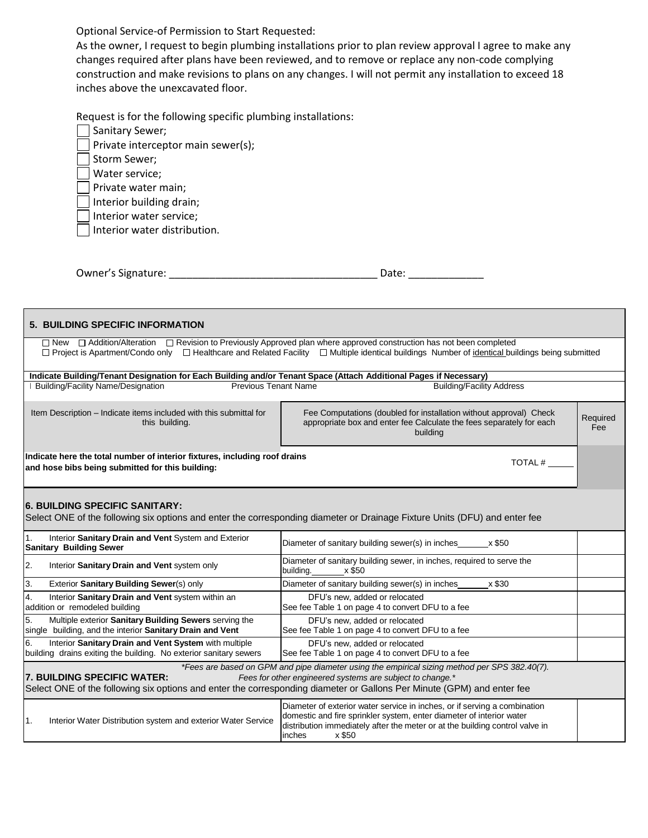Optional Service-of Permission to Start Requested:

As the owner, I request to begin plumbing installations prior to plan review approval I agree to make any changes required after plans have been reviewed, and to remove or replace any non-code complying construction and make revisions to plans on any changes. I will not permit any installation to exceed 18 inches above the unexcavated floor.

Request is for the following specific plumbing installations:

| Sanitary Sewer;                              |
|----------------------------------------------|
| $\vert$   Private interceptor main sewer(s); |
| Storm Sewer;                                 |
| Water service;                               |
| $\vert \ \vert$ Private water main;          |
| Intorior building drain:                     |

Interior building drain;

Interior water service;

Interior water distribution.

| Owner's Signature: |  |  |
|--------------------|--|--|
|                    |  |  |

| <b>5. BUILDING SPECIFIC INFORMATION</b>                                                                                                               |                                                                                                                                                                                                                                                       |                 |
|-------------------------------------------------------------------------------------------------------------------------------------------------------|-------------------------------------------------------------------------------------------------------------------------------------------------------------------------------------------------------------------------------------------------------|-----------------|
| □ New □ Addition/Alteration □ Revision to Previously Approved plan where approved construction has not been completed                                 | □ Project is Apartment/Condo only □ Healthcare and Related Facility □ Multiple identical buildings Number of identical buildings being submitted                                                                                                      |                 |
| Indicate Building/Tenant Designation for Each Building and/or Tenant Space (Attach Additional Pages if Necessary)                                     |                                                                                                                                                                                                                                                       |                 |
| <b>Building/Facility Name/Designation</b><br><b>Previous Tenant Name</b>                                                                              | <b>Building/Facility Address</b>                                                                                                                                                                                                                      |                 |
| Item Description - Indicate items included with this submittal for<br>this building.                                                                  | Fee Computations (doubled for installation without approval) Check<br>appropriate box and enter fee Calculate the fees separately for each<br>building                                                                                                | Required<br>Fee |
| Indicate here the total number of interior fixtures, including roof drains<br>and hose bibs being submitted for this building:                        | TOTAL #                                                                                                                                                                                                                                               |                 |
| <b>6. BUILDING SPECIFIC SANITARY:</b>                                                                                                                 | Select ONE of the following six options and enter the corresponding diameter or Drainage Fixture Units (DFU) and enter fee                                                                                                                            |                 |
| Interior Sanitary Drain and Vent System and Exterior<br>1.<br><b>Sanitary Building Sewer</b>                                                          | Diameter of sanitary building sewer(s) in inches<br>x \$50                                                                                                                                                                                            |                 |
| 2.<br>Interior Sanitary Drain and Vent system only                                                                                                    | Diameter of sanitary building sewer, in inches, required to serve the<br>building. x \$50                                                                                                                                                             |                 |
| 3.<br>Exterior Sanitary Building Sewer(s) only                                                                                                        | Diameter of sanitary building sewer(s) in inches<br>x \$30                                                                                                                                                                                            |                 |
| 4.<br>Interior Sanitary Drain and Vent system within an<br>addition or remodeled building                                                             | DFU's new, added or relocated<br>See fee Table 1 on page 4 to convert DFU to a fee                                                                                                                                                                    |                 |
| 5.<br>Multiple exterior Sanitary Building Sewers serving the<br>single building, and the interior Sanitary Drain and Vent                             | DFU's new, added or relocated<br>See fee Table 1 on page 4 to convert DFU to a fee                                                                                                                                                                    |                 |
| Interior Sanitary Drain and Vent System with multiple<br>6.<br>building drains exiting the building. No exterior sanitary sewers                      | DFU's new, added or relocated<br>See fee Table 1 on page 4 to convert DFU to a fee                                                                                                                                                                    |                 |
| 7. BUILDING SPECIFIC WATER:<br>Select ONE of the following six options and enter the corresponding diameter or Gallons Per Minute (GPM) and enter fee | *Fees are based on GPM and pipe diameter using the empirical sizing method per SPS 382.40(7).<br>Fees for other engineered systems are subject to change.*                                                                                            |                 |
| Interior Water Distribution system and exterior Water Service<br>1.                                                                                   | Diameter of exterior water service in inches, or if serving a combination<br>domestic and fire sprinkler system, enter diameter of interior water<br>distribution immediately after the meter or at the building control valve in<br>x \$50<br>inches |                 |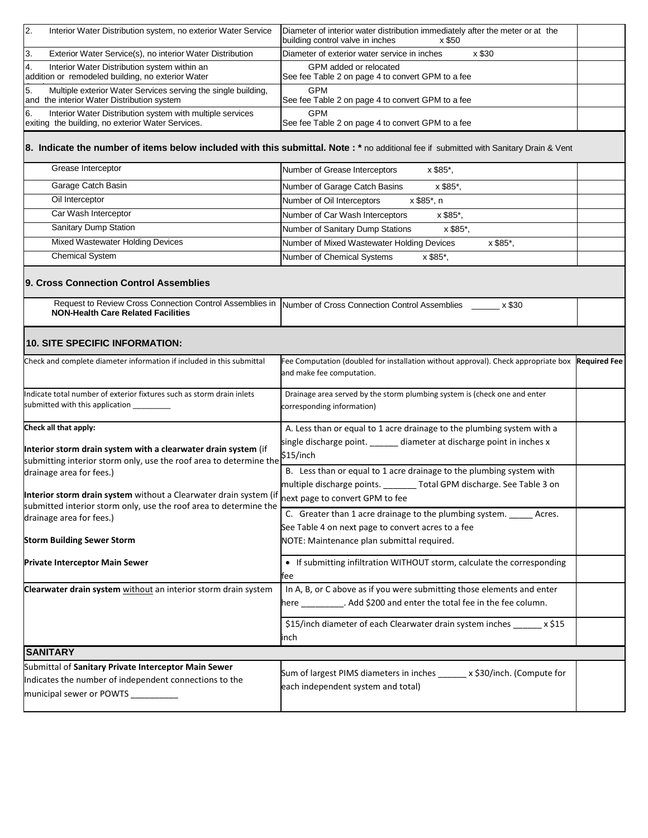| 2.<br>Interior Water Distribution system, no exterior Water Service                                                                  | Diameter of interior water distribution immediately after the meter or at the<br>building control valve in inches<br>x \$50            |
|--------------------------------------------------------------------------------------------------------------------------------------|----------------------------------------------------------------------------------------------------------------------------------------|
| 3.<br>Exterior Water Service(s), no interior Water Distribution                                                                      | Diameter of exterior water service in inches<br>x \$30                                                                                 |
| 4.<br>Interior Water Distribution system within an<br>addition or remodeled building, no exterior Water                              | GPM added or relocated<br>See fee Table 2 on page 4 to convert GPM to a fee                                                            |
| 5.<br>Multiple exterior Water Services serving the single building,<br>and the interior Water Distribution system                    | <b>GPM</b><br>See fee Table 2 on page 4 to convert GPM to a fee                                                                        |
| 6.<br>Interior Water Distribution system with multiple services<br>exiting the building, no exterior Water Services.                 | <b>GPM</b><br>See fee Table 2 on page 4 to convert GPM to a fee                                                                        |
|                                                                                                                                      | 8. Indicate the number of items below included with this submittal. Note : * no additional fee if submitted with Sanitary Drain & Vent |
| Grease Interceptor                                                                                                                   | Number of Grease Interceptors<br>x \$85*,                                                                                              |
| Garage Catch Basin                                                                                                                   | Number of Garage Catch Basins<br>x \$85*,                                                                                              |
| Oil Interceptor                                                                                                                      | Number of Oil Interceptors<br>x \$85*, n                                                                                               |
| Car Wash Interceptor                                                                                                                 | Number of Car Wash Interceptors<br>x \$85*,                                                                                            |
| Sanitary Dump Station                                                                                                                | Number of Sanitary Dump Stations<br>x \$85*,                                                                                           |
| Mixed Wastewater Holding Devices                                                                                                     | Number of Mixed Wastewater Holding Devices<br>x \$85*,                                                                                 |
| <b>Chemical System</b>                                                                                                               | Number of Chemical Systems<br>x \$85*,                                                                                                 |
| 9. Cross Connection Control Assemblies                                                                                               | Request to Review Cross Connection Control Assemblies in  Number of Cross Connection Control Assemblies _____ x \$30                   |
| <b>NON-Health Care Related Facilities</b>                                                                                            |                                                                                                                                        |
| <b>10. SITE SPECIFIC INFORMATION:</b>                                                                                                |                                                                                                                                        |
| Check and complete diameter information if included in this submittal                                                                | Fee Computation (doubled for installation without approval). Check appropriate box Required Fee<br>and make fee computation.           |
| Indicate total number of exterior fixtures such as storm drain inlets<br>submitted with this application _____                       | Drainage area served by the storm plumbing system is (check one and enter<br>corresponding information)                                |
| Check all that apply:                                                                                                                | A. Less than or equal to 1 acre drainage to the plumbing system with a                                                                 |
| Interior storm drain system with a clearwater drain system (if<br>submitting interior storm only, use the roof area to determine the | single discharge point. ______ diameter at discharge point in inches x<br>\$15/inch                                                    |
| drainage area for fees.)                                                                                                             | B. Less than or equal to 1 acre drainage to the plumbing system with                                                                   |
|                                                                                                                                      | multiple discharge points. _______ Total GPM discharge. See Table 3 on                                                                 |
| Interior storm drain system without a Clearwater drain system (if                                                                    | next page to convert GPM to fee                                                                                                        |
| submitted interior storm only, use the roof area to determine the<br>drainage area for fees.)                                        | C. Greater than 1 acre drainage to the plumbing system. ______ Acres.                                                                  |
|                                                                                                                                      | See Table 4 on next page to convert acres to a fee                                                                                     |
| <b>Storm Building Sewer Storm</b>                                                                                                    | NOTE: Maintenance plan submittal required.                                                                                             |
| <b>Private Interceptor Main Sewer</b>                                                                                                | • If submitting infiltration WITHOUT storm, calculate the corresponding<br>tee                                                         |
| Clearwater drain system without an interior storm drain system                                                                       | In A, B, or C above as if you were submitting those elements and enter                                                                 |
|                                                                                                                                      | here _________. Add \$200 and enter the total fee in the fee column.                                                                   |
|                                                                                                                                      | \$15/inch diameter of each Clearwater drain system inches ______ x \$15                                                                |
|                                                                                                                                      | inch                                                                                                                                   |
| <b>SANITARY</b>                                                                                                                      |                                                                                                                                        |
| Submittal of Sanitary Private Interceptor Main Sewer                                                                                 | Sum of largest PIMS diameters in inches ______ x \$30/inch. (Compute for                                                               |
| Indicates the number of independent connections to the                                                                               | each independent system and total)                                                                                                     |
| municipal sewer or POWTS ___________                                                                                                 |                                                                                                                                        |
|                                                                                                                                      |                                                                                                                                        |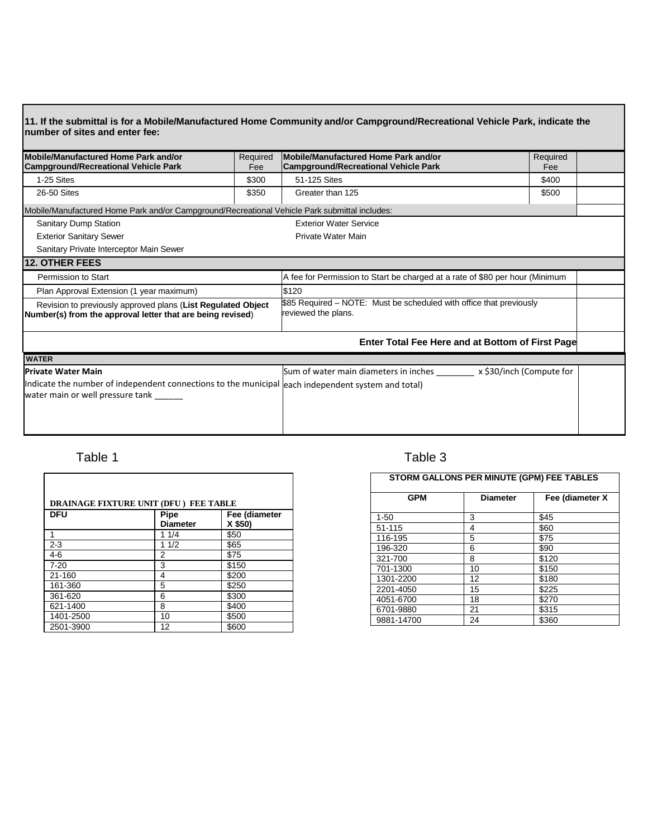| Mobile/Manufactured Home Park and/or<br><b>Campground/Recreational Vehicle Park</b>                                                                                  | Required<br>Fee | Mobile/Manufactured Home Park and/or<br><b>Campground/Recreational Vehicle Park</b>        | Required<br>Fee |  |
|----------------------------------------------------------------------------------------------------------------------------------------------------------------------|-----------------|--------------------------------------------------------------------------------------------|-----------------|--|
| 1-25 Sites                                                                                                                                                           | \$300           | 51-125 Sites                                                                               | \$400           |  |
| 26-50 Sites                                                                                                                                                          | \$350           | Greater than 125                                                                           | \$500           |  |
| Mobile/Manufactured Home Park and/or Campground/Recreational Vehicle Park submittal includes:                                                                        |                 |                                                                                            |                 |  |
| <b>Sanitary Dump Station</b>                                                                                                                                         |                 | <b>Exterior Water Service</b>                                                              |                 |  |
| <b>Exterior Sanitary Sewer</b>                                                                                                                                       |                 | Private Water Main                                                                         |                 |  |
| Sanitary Private Interceptor Main Sewer                                                                                                                              |                 |                                                                                            |                 |  |
| 12. OTHER FEES                                                                                                                                                       |                 |                                                                                            |                 |  |
| Permission to Start                                                                                                                                                  |                 | A fee for Permission to Start be charged at a rate of \$80 per hour (Minimum               |                 |  |
| Plan Approval Extension (1 year maximum)                                                                                                                             |                 | \$120                                                                                      |                 |  |
| Revision to previously approved plans (List Regulated Object<br>Number(s) from the approval letter that are being revised)                                           |                 | \$85 Required - NOTE: Must be scheduled with office that previously<br>reviewed the plans. |                 |  |
|                                                                                                                                                                      |                 | Enter Total Fee Here and at Bottom of First Page                                           |                 |  |
| <b>WATER</b>                                                                                                                                                         |                 |                                                                                            |                 |  |
| <b>Private Water Main</b><br>Indicate the number of independent connections to the municipal leach independent system and total)<br>water main or well pressure tank |                 | Sum of water main diameters in inches _________ x \$30/inch (Compute for                   |                 |  |

| DRAINAGE FIXTURE UNIT (DFU) FEE TABLE |                         |                          |  |
|---------------------------------------|-------------------------|--------------------------|--|
| <b>DFU</b>                            | Pipe<br><b>Diameter</b> | Fee (diameter<br>X \$50) |  |
|                                       | 11/4                    | \$50                     |  |
| $2 - 3$                               | 11/2                    | \$65                     |  |
| $4-6$                                 | 2                       | \$75                     |  |
| $7 - 20$                              | 3                       | \$150                    |  |
| 21-160                                | 4                       | \$200                    |  |
| 161-360                               | 5                       | \$250                    |  |
| 361-620                               | 6                       | \$300                    |  |
| 621-1400                              | 8                       | \$400                    |  |
| 1401-2500                             | 10                      | \$500                    |  |
| 2501-3900                             | 12                      | \$600                    |  |

## Table 1 and 1 and 1 and 1 and 1 and 1 and 1 and 1 and 1 and 1 and 1 and 1 and 1 and 1 and 1 and 1 and 1 and 1 and 1 and 1 and 1 and 1 and 1 and 1 and 1 and 1 and 1 and 1 and 1 and 1 and 1 and 1 and 1 and 1 and 1 and 1 and

| STORM GALLONS PER MINUTE (GPM) FEE TABLES |                 |                 |  |
|-------------------------------------------|-----------------|-----------------|--|
| <b>GPM</b>                                | <b>Diameter</b> | Fee (diameter X |  |
| $1 - 50$                                  | 3               | \$45            |  |
| 51-115                                    | 4               | \$60            |  |
| 116-195                                   | 5               | \$75            |  |
| 196-320                                   | 6               | \$90            |  |
| 321-700                                   | 8               | \$120           |  |
| 701-1300                                  | 10              | \$150           |  |
| 1301-2200                                 | 12              | \$180           |  |
| 2201-4050                                 | 15              | \$225           |  |
| 4051-6700                                 | 18              | \$270           |  |
| 6701-9880                                 | 21              | \$315           |  |
| 9881-14700                                | 24              | \$360           |  |